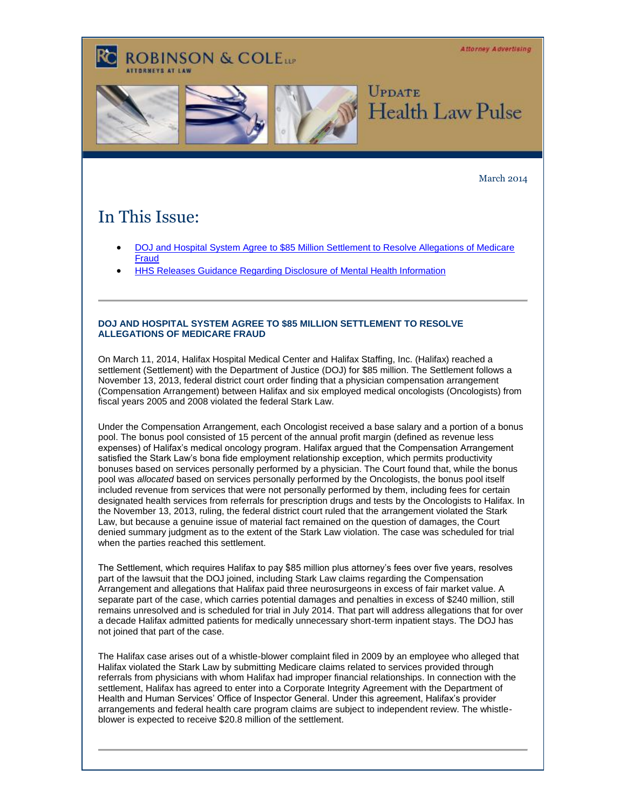**Attorney Advertising** 

# **ROBINSON & COLELLE**



### March 2014

## In This Issue:

- [DOJ and Hospital System Agree to \\$85 Million Settlement to Resolve Allegations of Medicare](#page-0-0)  [Fraud](#page-0-0)
- [HHS Releases Guidance Regarding Disclosure of Mental Health Information](#page-1-0)

### <span id="page-0-0"></span>**DOJ AND HOSPITAL SYSTEM AGREE TO \$85 MILLION SETTLEMENT TO RESOLVE ALLEGATIONS OF MEDICARE FRAUD**

On March 11, 2014, Halifax Hospital Medical Center and Halifax Staffing, Inc. (Halifax) reached a settlement (Settlement) with the Department of Justice (DOJ) for \$85 million. The Settlement follows a November 13, 2013, federal district court order finding that a physician compensation arrangement (Compensation Arrangement) between Halifax and six employed medical oncologists (Oncologists) from fiscal years 2005 and 2008 violated the federal Stark Law.

Under the Compensation Arrangement, each Oncologist received a base salary and a portion of a bonus pool. The bonus pool consisted of 15 percent of the annual profit margin (defined as revenue less expenses) of Halifax's medical oncology program. Halifax argued that the Compensation Arrangement satisfied the Stark Law's bona fide employment relationship exception, which permits productivity bonuses based on services personally performed by a physician. The Court found that, while the bonus pool was *allocated* based on services personally performed by the Oncologists, the bonus pool itself included revenue from services that were not personally performed by them, including fees for certain designated health services from referrals for prescription drugs and tests by the Oncologists to Halifax. In the November 13, 2013, ruling, the federal district court ruled that the arrangement violated the Stark Law, but because a genuine issue of material fact remained on the question of damages, the Court denied summary judgment as to the extent of the Stark Law violation. The case was scheduled for trial when the parties reached this settlement.

The Settlement, which requires Halifax to pay \$85 million plus attorney's fees over five years, resolves part of the lawsuit that the DOJ joined, including Stark Law claims regarding the Compensation Arrangement and allegations that Halifax paid three neurosurgeons in excess of fair market value. A separate part of the case, which carries potential damages and penalties in excess of \$240 million, still remains unresolved and is scheduled for trial in July 2014. That part will address allegations that for over a decade Halifax admitted patients for medically unnecessary short-term inpatient stays. The DOJ has not joined that part of the case.

The Halifax case arises out of a whistle-blower complaint filed in 2009 by an employee who alleged that Halifax violated the Stark Law by submitting Medicare claims related to services provided through referrals from physicians with whom Halifax had improper financial relationships. In connection with the settlement, Halifax has agreed to enter into a Corporate Integrity Agreement with the Department of Health and Human Services' Office of Inspector General. Under this agreement, Halifax's provider arrangements and federal health care program claims are subject to independent review. The whistleblower is expected to receive \$20.8 million of the settlement.